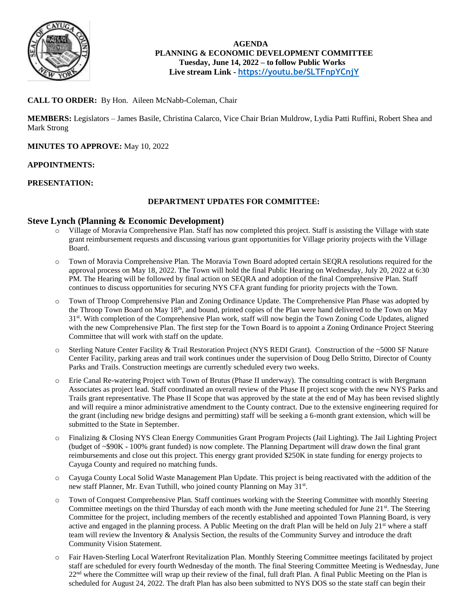

 **AGENDA PLANNING & ECONOMIC DEVELOPMENT COMMITTEE Tuesday, June 14, 2022 – to follow Public Works Live stream Link - <https://youtu.be/SLTFnpYCnjY>**

## **CALL TO ORDER:** By Hon. Aileen McNabb-Coleman, Chair

**MEMBERS:** Legislators – James Basile, Christina Calarco, Vice Chair Brian Muldrow, Lydia Patti Ruffini, Robert Shea and Mark Strong

**MINUTES TO APPROVE:** May 10, 2022

## **APPOINTMENTS:**

## **PRESENTATION:**

## **DEPARTMENT UPDATES FOR COMMITTEE:**

## **Steve Lynch (Planning & Economic Development)**

- o Village of Moravia Comprehensive Plan. Staff has now completed this project. Staff is assisting the Village with state grant reimbursement requests and discussing various grant opportunities for Village priority projects with the Village Board.
- Town of Moravia Comprehensive Plan. The Moravia Town Board adopted certain SEQRA resolutions required for the approval process on May 18, 2022. The Town will hold the final Public Hearing on Wednesday, July 20, 2022 at 6:30 PM. The Hearing will be followed by final action on SEQRA and adoption of the final Comprehensive Plan. Staff continues to discuss opportunities for securing NYS CFA grant funding for priority projects with the Town.
- o Town of Throop Comprehensive Plan and Zoning Ordinance Update. The Comprehensive Plan Phase was adopted by the Throop Town Board on May 18<sup>th</sup>, and bound, printed copies of the Plan were hand delivered to the Town on May 31<sup>st</sup>. With completion of the Comprehensive Plan work, staff will now begin the Town Zoning Code Updates, aligned with the new Comprehensive Plan. The first step for the Town Board is to appoint a Zoning Ordinance Project Steering Committee that will work with staff on the update.
- o Sterling Nature Center Facility & Trail Restoration Project (NYS REDI Grant). Construction of the ~5000 SF Nature Center Facility, parking areas and trail work continues under the supervision of Doug Dello Stritto, Director of County Parks and Trails. Construction meetings are currently scheduled every two weeks.
- Erie Canal Re-watering Project with Town of Brutus (Phase II underway). The consulting contract is with Bergmann Associates as project lead. Staff coordinated an overall review of the Phase II project scope with the new NYS Parks and Trails grant representative. The Phase II Scope that was approved by the state at the end of May has been revised slightly and will require a minor administrative amendment to the County contract. Due to the extensive engineering required for the grant (including new bridge designs and permitting) staff will be seeking a 6-month grant extension, which will be submitted to the State in September.
- Finalizing & Closing NYS Clean Energy Communities Grant Program Projects (Jail Lighting). The Jail Lighting Project (budget of ~\$90K - 100% grant funded) is now complete. The Planning Department will draw down the final grant reimbursements and close out this project. This energy grant provided \$250K in state funding for energy projects to Cayuga County and required no matching funds.
- o Cayuga County Local Solid Waste Management Plan Update. This project is being reactivated with the addition of the new staff Planner, Mr. Evan Tuthill, who joined county Planning on May 31<sup>st</sup>.
- o Town of Conquest Comprehensive Plan. Staff continues working with the Steering Committee with monthly Steering Committee meetings on the third Thursday of each month with the June meeting scheduled for June 21<sup>st</sup>. The Steering Committee for the project, including members of the recently established and appointed Town Planning Board, is very active and engaged in the planning process. A Public Meeting on the draft Plan will be held on July  $21<sup>st</sup>$  where a staff team will review the Inventory & Analysis Section, the results of the Community Survey and introduce the draft Community Vision Statement.
- o Fair Haven-Sterling Local Waterfront Revitalization Plan. Monthly Steering Committee meetings facilitated by project staff are scheduled for every fourth Wednesday of the month. The final Steering Committee Meeting is Wednesday, June  $22<sup>nd</sup>$  where the Committee will wrap up their review of the final, full draft Plan. A final Public Meeting on the Plan is scheduled for August 24, 2022. The draft Plan has also been submitted to NYS DOS so the state staff can begin their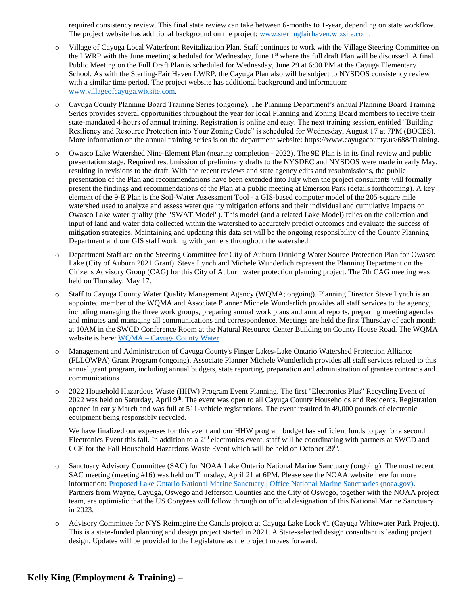required consistency review. This final state review can take between 6-months to 1-year, depending on state workflow. The project website has additional background on the project: [www.sterlingfairhaven.wixsite.com.](http://www.sterlingfairhaven.wixsite.com/)

- o Village of Cayuga Local Waterfront Revitalization Plan. Staff continues to work with the Village Steering Committee on the LWRP with the June meeting scheduled for Wednesday, June  $1<sup>st</sup>$  where the full draft Plan will be discussed. A final Public Meeting on the Full Draft Plan is scheduled for Wednesday, June 29 at 6:00 PM at the Cayuga Elementary School. As with the Sterling-Fair Haven LWRP, the Cayuga Plan also will be subject to NYSDOS consistency review with a similar time period. The project website has additional background and information: [www.villageofcayuga.wixsite.com.](http://www.villageofcayuga.wixsite.com/)
- o Cayuga County Planning Board Training Series (ongoing). The Planning Department's annual Planning Board Training Series provides several opportunities throughout the year for local Planning and Zoning Board members to receive their state-mandated 4-hours of annual training. Registration is online and easy. The next training session, entitled "Building Resiliency and Resource Protection into Your Zoning Code" is scheduled for Wednesday, August 17 at 7PM (BOCES). More information on the annual training series is on the department website: [https://www.cayugacounty.us/688/Training.](https://www.cayugacounty.us/688/Training)
- o Owasco Lake Watershed Nine-Element Plan (nearing completion 2022). The 9E Plan is in its final review and public presentation stage. Required resubmission of preliminary drafts to the NYSDEC and NYSDOS were made in early May, resulting in revisions to the draft. With the recent reviews and state agency edits and resubmissions, the public presentation of the Plan and recommendations have been extended into July when the project consultants will formally present the findings and recommendations of the Plan at a public meeting at Emerson Park (details forthcoming). A key element of the 9-E Plan is the Soil-Water Assessment Tool - a GIS-based computer model of the 205-square mile watershed used to analyze and assess water quality mitigation efforts and their individual and cumulative impacts on Owasco Lake water quality (the "SWAT Model"). This model (and a related Lake Model) relies on the collection and input of land and water data collected within the watershed to accurately predict outcomes and evaluate the success of mitigation strategies. Maintaining and updating this data set will be the ongoing responsibility of the County Planning Department and our GIS staff working with partners throughout the watershed.
- Department Staff are on the Steering Committee for City of Auburn Drinking Water Source Protection Plan for Owasco Lake (City of Auburn 2021 Grant). Steve Lynch and Michele Wunderlich represent the Planning Department on the Citizens Advisory Group (CAG) for this City of Auburn water protection planning project. The 7th CAG meeting was held on Thursday, May 17.
- o Staff to Cayuga County Water Quality Management Agency (WQMA; ongoing). Planning Director Steve Lynch is an appointed member of the WQMA and Associate Planner Michele Wunderlich provides all staff services to the agency, including managing the three work groups, preparing annual work plans and annual reports, preparing meeting agendas and minutes and managing all communications and correspondence. Meetings are held the first Thursday of each month at 10AM in the SWCD Conference Room at the Natural Resource Center Building on County House Road. The WQMA website is here: WQMA – [Cayuga County Water](http://cayugacountywater.org/)
- o Management and Administration of Cayuga County's Finger Lakes-Lake Ontario Watershed Protection Alliance (FLLOWPA) Grant Program (ongoing). Associate Planner Michele Wunderlich provides all staff services related to this annual grant program, including annual budgets, state reporting, preparation and administration of grantee contracts and communications.
- o 2022 Household Hazardous Waste (HHW) Program Event Planning. The first "Electronics Plus" Recycling Event of 2022 was held on Saturday, April 9<sup>th</sup>. The event was open to all Cayuga County Households and Residents. Registration opened in early March and was full at 511-vehicle registrations. The event resulted in 49,000 pounds of electronic equipment being responsibly recycled.

We have finalized our expenses for this event and our HHW program budget has sufficient funds to pay for a second Electronics Event this fall. In addition to a  $2<sup>nd</sup>$  electronics event, staff will be coordinating with partners at SWCD and CCE for the Fall Household Hazardous Waste Event which will be held on October 29<sup>th</sup>.

- Sanctuary Advisory Committee (SAC) for NOAA Lake Ontario National Marine Sanctuary (ongoing). The most recent SAC meeting (meeting #16) was held on Thursday, April 21 at 6PM. Please see the NOAA website here for more information: [Proposed Lake Ontario National Marine Sanctuary | Office National Marine Sanctuaries \(noaa.gov\).](https://sanctuaries.noaa.gov/lake-ontario/) Partners from Wayne, Cayuga, Oswego and Jefferson Counties and the City of Oswego, together with the NOAA project team, are optimistic that the US Congress will follow through on official designation of this National Marine Sanctuary in 2023.
- Advisory Committee for NYS Reimagine the Canals project at Cayuga Lake Lock #1 (Cayuga Whitewater Park Project). This is a state-funded planning and design project started in 2021. A State-selected design consultant is leading project design. Updates will be provided to the Legislature as the project moves forward.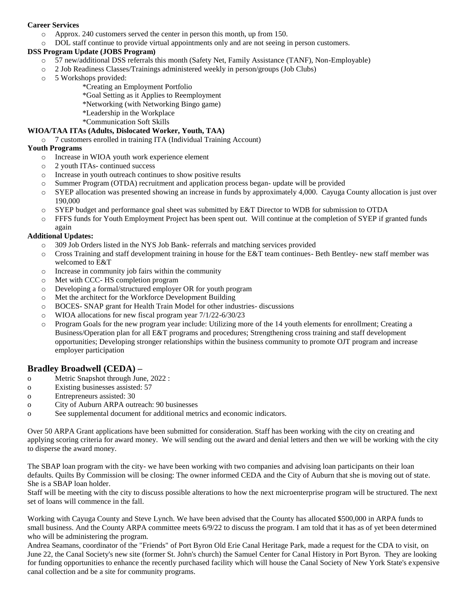## **Career Services**

- o Approx. 240 customers served the center in person this month, up from 150.
- o DOL staff continue to provide virtual appointments only and are not seeing in person customers.

## **DSS Program Update (JOBS Program)**

- o 57 new/additional DSS referrals this month (Safety Net, Family Assistance (TANF), Non-Employable)
- o 2 Job Readiness Classes/Trainings administered weekly in person/groups (Job Clubs)
- o 5 Workshops provided:
	- \*Creating an Employment Portfolio
	- \*Goal Setting as it Applies to Reemployment
	- \*Networking (with Networking Bingo game)
	- \*Leadership in the Workplace
	- \*Communication Soft Skills

#### **WIOA/TAA ITAs (Adults, Dislocated Worker, Youth, TAA)**

o 7 customers enrolled in training ITA (Individual Training Account)

#### **Youth Programs**

- o Increase in WIOA youth work experience element
- o 2 youth ITAs- continued success
- o Increase in youth outreach continues to show positive results
- o Summer Program (OTDA) recruitment and application process began- update will be provided
- o SYEP allocation was presented showing an increase in funds by approximately 4,000. Cayuga County allocation is just over 190,000
- o SYEP budget and performance goal sheet was submitted by E&T Director to WDB for submission to OTDA
- o FFFS funds for Youth Employment Project has been spent out. Will continue at the completion of SYEP if granted funds

#### again **Additional Updates:**

- o 309 Job Orders listed in the NYS Job Bank- referrals and matching services provided
- Cross Training and staff development training in house for the E&T team continues- Beth Bentley- new staff member was welcomed to E&T
- o Increase in community job fairs within the community
- o Met with CCC- HS completion program
- o Developing a formal/structured employer OR for youth program
- o Met the architect for the Workforce Development Building
- o BOCES- SNAP grant for Health Train Model for other industries- discussions
- o WIOA allocations for new fiscal program year 7/1/22-6/30/23
- Program Goals for the new program year include: Utilizing more of the 14 youth elements for enrollment; Creating a Business/Operation plan for all E&T programs and procedures; Strengthening cross training and staff development opportunities; Developing stronger relationships within the business community to promote OJT program and increase employer participation

## **Bradley Broadwell (CEDA) –**

- o Metric Snapshot through June, 2022 :
- o Existing businesses assisted: 57
- o Entrepreneurs assisted: 30
- o City of Auburn ARPA outreach: 90 businesses
- o See supplemental document for additional metrics and economic indicators.

Over 50 ARPA Grant applications have been submitted for consideration. Staff has been working with the city on creating and applying scoring criteria for award money. We will sending out the award and denial letters and then we will be working with the city to disperse the award money.

The SBAP loan program with the city- we have been working with two companies and advising loan participants on their loan defaults. Quilts By Commission will be closing: The owner informed CEDA and the City of Auburn that she is moving out of state. She is a SBAP loan holder.

Staff will be meeting with the city to discuss possible alterations to how the next microenterprise program will be structured. The next set of loans will commence in the fall.

Working with Cayuga County and Steve Lynch. We have been advised that the County has allocated \$500,000 in ARPA funds to small business. And the County ARPA committee meets  $6/9/22$  to discuss the program. I am told that it has as of yet been determined who will be administering the program.

Andrea Seamans, coordinator of the "Friends" of Port Byron Old Erie Canal Heritage Park, made a request for the CDA to visit, on June 22, the Canal Society's new site (former St. John's church) the Samuel Center for Canal History in Port Byron. They are looking for funding opportunities to enhance the recently purchased facility which will house the Canal Society of New York State's expensive canal collection and be a site for community programs.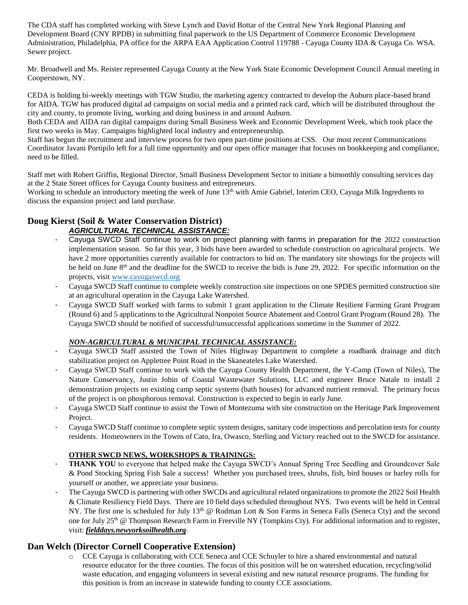The CDA staff has completed working with Steve Lynch and David Bottar of the Central New York Regional Planning and Development Board (CNY RPDB) in submitting final paperwork to the US Department of Commerce Economic Development Administration, Philadelphia, PA office for the ARPA EAA Application Control 119788 - Cayuga County IDA & Cayuga Co. WSA. Sewer project.

Mr. Broadwell and Ms. Reister represented Cayuga County at the New York State Economic Development Council Annual meeting in Cooperstown, NY.

CEDA is holding bi-weekly meetings with TGW Studio, the marketing agency contracted to develop the Auburn place-based brand for AIDA. TGW has produced digital ad campaigns on social media and a printed rack card, which will be distributed throughout the city and county, to promote living, working and doing business in and around Auburn.

Both CEDA and AIDA ran digital campaigns during Small Business Week and Economic Development Week, which took place the first two weeks in May. Campaigns highlighted local industry and entrepreneurship.

Staff has begun the recruitment and interview process for two open part-time positions at CSS. Our most recent Communications Coordinator Javani Portipilo left for a full time opportunity and our open office manager that focuses on bookkeeping and compliance, need to be filled.

Staff met with Robert Griffin, Regional Director, Small Business Development Sector to initiate a bimonthly consulting services day at the 2 State Street offices for Cayuga County business and entrepreneurs.

Working to schedule an introductory meeting the week of June 13<sup>th</sup> with Amie Gabriel, Interim CEO, Cayuga Milk Ingredients to discuss the expansion project and land purchase.

## **Doug Kierst (Soil & Water Conservation District)**  *AGRICULTURAL TECHNICAL ASSISTANCE:*

- Cayuga SWCD Staff continue to work on project planning with farms in preparation for the 2022 construction implementation season. So far this year, 3 bids have been awarded to schedule construction on agricultural projects. We have 2 more opportunities currently available for contractors to bid on. The mandatory site showings for the projects will be held on June 8<sup>th</sup> and the deadline for the SWCD to receive the bids is June 29, 2022. For specific information on the projects, visit [www.cayugaswcd.org](http://www.cayugaswcd.org/)
- Cayuga SWCD Staff continue to complete weekly construction site inspections on one SPDES permitted construction site at an agricultural operation in the Cayuga Lake Watershed.
- Cayuga SWCD Staff worked with farms to submit 1 grant application to the Climate Resilient Farming Grant Program (Round 6) and 5 applications to the Agricultural Nonpoint Source Abatement and Control Grant Program (Round 28). The Cayuga SWCD should be notified of successful/unsuccessful applications sometime in the Summer of 2022.

## *NON-AGRICULTURAL & MUNICIPAL TECHNICAL ASSISTANCE:*

- Cayuga SWCD Staff assisted the Town of Niles Highway Department to complete a roadbank drainage and ditch stabilization project on Appletree Point Road in the Skaneateles Lake Watershed.
- Cayuga SWCD Staff continue to work with the Cayuga County Health Department, the Y-Camp (Town of Niles), The Nature Conservancy, Justin Jobin of Coastal Wastewater Solutions, LLC and engineer Bruce Natale to install 2 demonstration projects on existing camp septic systems (bath houses) for advanced nutrient removal. The primary focus of the project is on phosphorous removal. Construction is expected to begin in early June.
- Cayuga SWCD Staff continue to assist the Town of Montezuma with site construction on the Heritage Park Improvement Project.
- Cayuga SWCD Staff continue to complete septic system designs, sanitary code inspections and percolation tests for county residents. Homeowners in the Towns of Cato, Ira, Owasco, Sterling and Victory reached out to the SWCD for assistance.

## **OTHER SWCD NEWS, WORKSHOPS & TRAININGS:**

- **THANK YOU** to everyone that helped make the Cayuga SWCD's Annual Spring Tree Seedling and Groundcover Sale & Pond Stocking Spring Fish Sale a success! Whether you purchased trees, shrubs, fish, bird houses or barley rolls for yourself or another, we appreciate your business.
- The Cayuga SWCD is partnering with other SWCDs and agricultural related organizations to promote the 2022 Soil Health & Climate Resiliency Field Days. There are 10 field days scheduled throughout NYS. Two events will be held in Central NY. The first one is scheduled for July  $13<sup>th</sup>$  @ Rodman Lott & Son Farms in Seneca Falls (Seneca Cty) and the second one for July 25<sup>th</sup> @ Thompson Research Farm in Freeville NY (Tompkins Cty). For additional information and to register, visit: *fielddays.newyorksoilhealth.org*.

## **Dan Welch (Director Cornell Cooperative Extension)**

o CCE Cayuga is collaborating with CCE Seneca and CCE Schuyler to hire a shared environmental and natural resource educator for the three counties. The focus of this position will be on watershed education, recycling/solid waste education, and engaging volunteers in several existing and new natural resource programs. The funding for this position is from an increase in statewide funding to county CCE associations.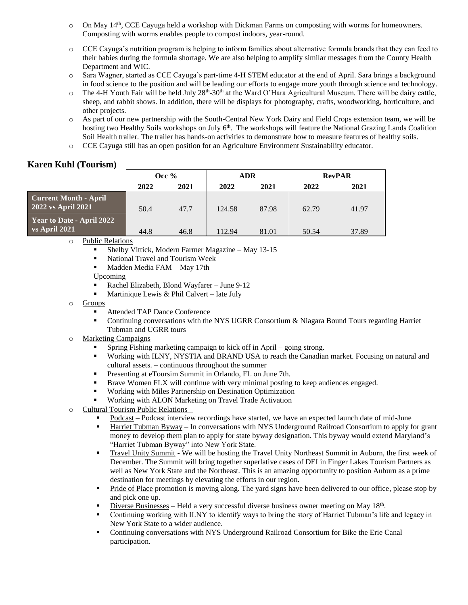- $\circ$  On May 14<sup>th</sup>, CCE Cayuga held a workshop with Dickman Farms on composting with worms for homeowners. Composting with worms enables people to compost indoors, year-round.
- o CCE Cayuga's nutrition program is helping to inform families about alternative formula brands that they can feed to their babies during the formula shortage. We are also helping to amplify similar messages from the County Health Department and WIC.
- o Sara Wagner, started as CCE Cayuga's part-time 4-H STEM educator at the end of April. Sara brings a background in food science to the position and will be leading our efforts to engage more youth through science and technology.
- o The 4-H Youth Fair will be held July 28<sup>th</sup>-30<sup>th</sup> at the Ward O'Hara Agricultural Museum. There will be dairy cattle, sheep, and rabbit shows. In addition, there will be displays for photography, crafts, woodworking, horticulture, and other projects.
- o As part of our new partnership with the South-Central New York Dairy and Field Crops extension team, we will be hosting two Healthy Soils workshops on July 6<sup>th</sup>. The workshops will feature the National Grazing Lands Coalition Soil Health trailer. The trailer has hands-on activities to demonstrate how to measure features of healthy soils.
- o CCE Cayuga still has an open position for an Agriculture Environment Sustainability educator.

## **Karen Kuhl (Tourism)**

|                                             | Occ $%$ |      | <b>ADR</b> |       | <b>RevPAR</b> |       |
|---------------------------------------------|---------|------|------------|-------|---------------|-------|
|                                             | 2022    | 2021 | 2022       | 2021  | 2022          | 2021  |
| Current Month - April<br>2022 vs April 2021 | 50.4    | 47.7 | 124.58     | 87.98 | 62.79         | 41.97 |
| Year to Date - April 2022<br>vs April 2021  | 44.8    | 46.8 | 112.94     | 81.01 | 50.54         | 37.89 |

o Public Relations

- Shelby Vittick, Modern Farmer Magazine May  $13-15$
- National Travel and Tourism Week
- Madden Media FAM May 17th

## Upcoming

- Rachel Elizabeth, Blond Wayfarer June 9-12
- Martinique Lewis & Phil Calvert late July
- o Groups
	- Attended TAP Dance Conference
	- Continuing conversations with the NYS UGRR Consortium & Niagara Bound Tours regarding Harriet Tubman and UGRR tours
- o Marketing Campaigns
	- Spring Fishing marketing campaign to kick off in April going strong.
	- Working with ILNY, NYSTIA and BRAND USA to reach the Canadian market. Focusing on natural and cultural assets. – continuous throughout the summer
	- **•** Presenting at eToursim Summit in Orlando, FL on June 7th.
	- Brave Women FLX will continue with very minimal posting to keep audiences engaged.
	- Working with Miles Partnership on Destination Optimization
	- Working with ALON Marketing on Travel Trade Activation
- o Cultural Tourism Public Relations
	- Podcast Podcast interview recordings have started, we have an expected launch date of mid-June
	- Harriet Tubman Byway In conversations with NYS Underground Railroad Consortium to apply for grant money to develop them plan to apply for state byway designation. This byway would extend Maryland's "Harriet Tubman Byway" into New York State.
	- Travel Unity Summit We will be hosting the Travel Unity Northeast Summit in Auburn, the first week of December. The Summit will bring together superlative cases of DEI in Finger Lakes Tourism Partners as well as New York State and the Northeast. This is an amazing opportunity to position Auburn as a prime destination for meetings by elevating the efforts in our region.
	- Pride of Place promotion is moving along. The yard signs have been delivered to our office, please stop by and pick one up.
	- **•** Diverse Businesses Held a very successful diverse business owner meeting on May  $18<sup>th</sup>$ .
	- Continuing working with ILNY to identify ways to bring the story of Harriet Tubman's life and legacy in New York State to a wider audience.
	- **•** Continuing conversations with NYS Underground Railroad Consortium for Bike the Erie Canal participation.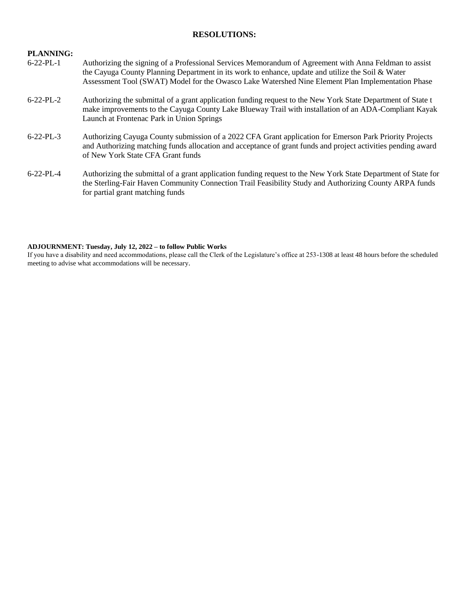#### **RESOLUTIONS:**

#### **PLANNING:**

- 6-22-PL-1 Authorizing the signing of a Professional Services Memorandum of Agreement with Anna Feldman to assist the Cayuga County Planning Department in its work to enhance, update and utilize the Soil & Water Assessment Tool (SWAT) Model for the Owasco Lake Watershed Nine Element Plan Implementation Phase
- 6-22-PL-2 Authorizing the submittal of a grant application funding request to the New York State Department of State t make improvements to the Cayuga County Lake Blueway Trail with installation of an ADA-Compliant Kayak Launch at Frontenac Park in Union Springs
- 6-22-PL-3 Authorizing Cayuga County submission of a 2022 CFA Grant application for Emerson Park Priority Projects and Authorizing matching funds allocation and acceptance of grant funds and project activities pending award of New York State CFA Grant funds
- 6-22-PL-4 Authorizing the submittal of a grant application funding request to the New York State Department of State for the Sterling-Fair Haven Community Connection Trail Feasibility Study and Authorizing County ARPA funds for partial grant matching funds

#### **ADJOURNMENT: Tuesday, July 12, 2022 – to follow Public Works**

If you have a disability and need accommodations, please call the Clerk of the Legislature's office at 253-1308 at least 48 hours before the scheduled meeting to advise what accommodations will be necessary.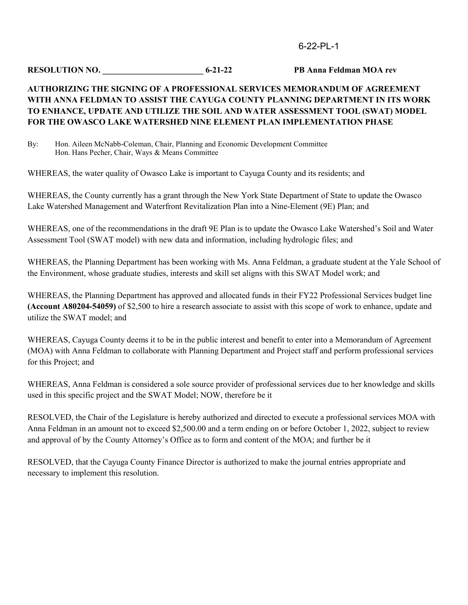## **AUTHORIZING THE SIGNING OF A PROFESSIONAL SERVICES MEMORANDUM OF AGREEMENT WITH ANNA FELDMAN TO ASSIST THE CAYUGA COUNTY PLANNING DEPARTMENT IN ITS WORK TO ENHANCE, UPDATE AND UTILIZE THE SOIL AND WATER ASSESSMENT TOOL (SWAT) MODEL FOR THE OWASCO LAKE WATERSHED NINE ELEMENT PLAN IMPLEMENTATION PHASE**

By: Hon. Aileen McNabb-Coleman, Chair, Planning and Economic Development Committee Hon. Hans Pecher, Chair, Ways & Means Committee

WHEREAS, the water quality of Owasco Lake is important to Cayuga County and its residents; and

WHEREAS, the County currently has a grant through the New York State Department of State to update the Owasco Lake Watershed Management and Waterfront Revitalization Plan into a Nine-Element (9E) Plan; and

WHEREAS, one of the recommendations in the draft 9E Plan is to update the Owasco Lake Watershed's Soil and Water Assessment Tool (SWAT model) with new data and information, including hydrologic files; and

WHEREAS, the Planning Department has been working with Ms. Anna Feldman, a graduate student at the Yale School of the Environment, whose graduate studies, interests and skill set aligns with this SWAT Model work; and

WHEREAS, the Planning Department has approved and allocated funds in their FY22 Professional Services budget line **(Account A80204-54059)** of \$2,500 to hire a research associate to assist with this scope of work to enhance, update and utilize the SWAT model; and

WHEREAS, Cayuga County deems it to be in the public interest and benefit to enter into a Memorandum of Agreement (MOA) with Anna Feldman to collaborate with Planning Department and Project staff and perform professional services for this Project; and

WHEREAS, Anna Feldman is considered a sole source provider of professional services due to her knowledge and skills used in this specific project and the SWAT Model; NOW, therefore be it

RESOLVED, the Chair of the Legislature is hereby authorized and directed to execute a professional services MOA with Anna Feldman in an amount not to exceed \$2,500.00 and a term ending on or before October 1, 2022, subject to review and approval of by the County Attorney's Office as to form and content of the MOA; and further be it

RESOLVED, that the Cayuga County Finance Director is authorized to make the journal entries appropriate and necessary to implement this resolution.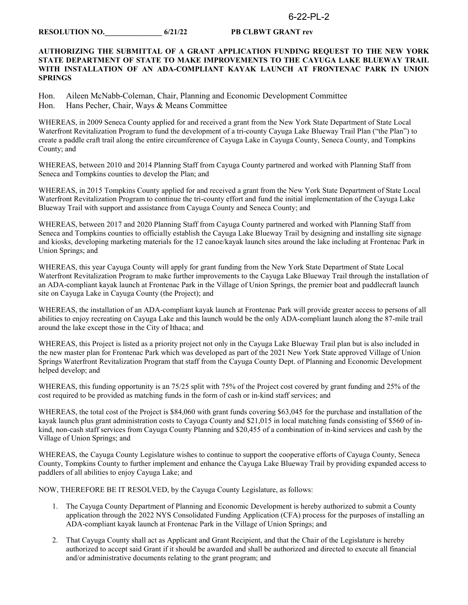#### **RESOLUTION NO.\_\_\_\_\_\_\_\_\_\_\_\_\_\_\_ 6/21/22 PB CLBWT GRANT rev**

#### **AUTHORIZING THE SUBMITTAL OF A GRANT APPLICATION FUNDING REQUEST TO THE NEW YORK STATE DEPARTMENT OF STATE TO MAKE IMPROVEMENTS TO THE CAYUGA LAKE BLUEWAY TRAIL WITH INSTALLATION OF AN ADA-COMPLIANT KAYAK LAUNCH AT FRONTENAC PARK IN UNION SPRINGS**

Hon. Aileen McNabb-Coleman, Chair, Planning and Economic Development Committee Hon. Hans Pecher, Chair, Ways & Means Committee

WHEREAS, in 2009 Seneca County applied for and received a grant from the New York State Department of State Local Waterfront Revitalization Program to fund the development of a tri-county Cayuga Lake Blueway Trail Plan ("the Plan") to create a paddle craft trail along the entire circumference of Cayuga Lake in Cayuga County, Seneca County, and Tompkins County; and

WHEREAS, between 2010 and 2014 Planning Staff from Cayuga County partnered and worked with Planning Staff from Seneca and Tompkins counties to develop the Plan; and

WHEREAS, in 2015 Tompkins County applied for and received a grant from the New York State Department of State Local Waterfront Revitalization Program to continue the tri-county effort and fund the initial implementation of the Cayuga Lake Blueway Trail with support and assistance from Cayuga County and Seneca County; and

WHEREAS, between 2017 and 2020 Planning Staff from Cayuga County partnered and worked with Planning Staff from Seneca and Tompkins counties to officially establish the Cayuga Lake Blueway Trail by designing and installing site signage and kiosks, developing marketing materials for the 12 canoe/kayak launch sites around the lake including at Frontenac Park in Union Springs; and

WHEREAS, this year Cayuga County will apply for grant funding from the New York State Department of State Local Waterfront Revitalization Program to make further improvements to the Cayuga Lake Blueway Trail through the installation of an ADA-compliant kayak launch at Frontenac Park in the Village of Union Springs, the premier boat and paddlecraft launch site on Cayuga Lake in Cayuga County (the Project); and

WHEREAS, the installation of an ADA-compliant kayak launch at Frontenac Park will provide greater access to persons of all abilities to enjoy recreating on Cayuga Lake and this launch would be the only ADA-compliant launch along the 87-mile trail around the lake except those in the City of Ithaca; and

WHEREAS, this Project is listed as a priority project not only in the Cayuga Lake Blueway Trail plan but is also included in the new master plan for Frontenac Park which was developed as part of the 2021 New York State approved Village of Union Springs Waterfront Revitalization Program that staff from the Cayuga County Dept. of Planning and Economic Development helped develop; and

WHEREAS, this funding opportunity is an 75/25 split with 75% of the Project cost covered by grant funding and 25% of the cost required to be provided as matching funds in the form of cash or in-kind staff services; and

WHEREAS, the total cost of the Project is \$84,060 with grant funds covering \$63,045 for the purchase and installation of the kayak launch plus grant administration costs to Cayuga County and \$21,015 in local matching funds consisting of \$560 of inkind, non-cash staff services from Cayuga County Planning and \$20,455 of a combination of in-kind services and cash by the Village of Union Springs; and

WHEREAS, the Cayuga County Legislature wishes to continue to support the cooperative efforts of Cayuga County, Seneca County, Tompkins County to further implement and enhance the Cayuga Lake Blueway Trail by providing expanded access to paddlers of all abilities to enjoy Cayuga Lake; and

NOW, THEREFORE BE IT RESOLVED, by the Cayuga County Legislature, as follows:

- 1. The Cayuga County Department of Planning and Economic Development is hereby authorized to submit a County application through the 2022 NYS Consolidated Funding Application (CFA) process for the purposes of installing an ADA-compliant kayak launch at Frontenac Park in the Village of Union Springs; and
- 2. That Cayuga County shall act as Applicant and Grant Recipient, and that the Chair of the Legislature is hereby authorized to accept said Grant if it should be awarded and shall be authorized and directed to execute all financial and/or administrative documents relating to the grant program; and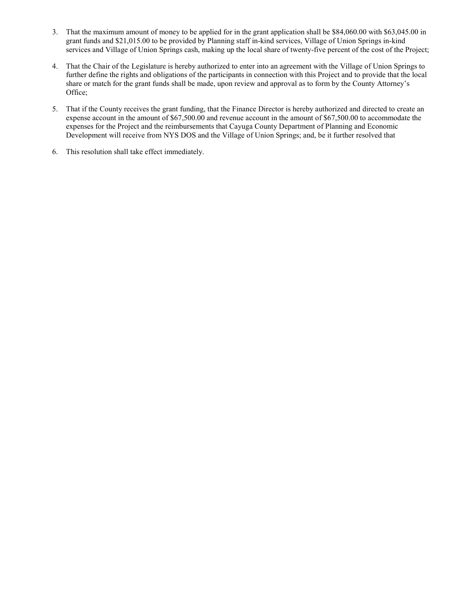- 3. That the maximum amount of money to be applied for in the grant application shall be \$84,060.00 with \$63,045.00 in grant funds and \$21,015.00 to be provided by Planning staff in-kind services, Village of Union Springs in-kind services and Village of Union Springs cash, making up the local share of twenty-five percent of the cost of the Project;
- 4. That the Chair of the Legislature is hereby authorized to enter into an agreement with the Village of Union Springs to further define the rights and obligations of the participants in connection with this Project and to provide that the local share or match for the grant funds shall be made, upon review and approval as to form by the County Attorney's Office;
- 5. That if the County receives the grant funding, that the Finance Director is hereby authorized and directed to create an expense account in the amount of \$67,500.00 and revenue account in the amount of \$67,500.00 to accommodate the expenses for the Project and the reimbursements that Cayuga County Department of Planning and Economic Development will receive from NYS DOS and the Village of Union Springs; and, be it further resolved that
- 6. This resolution shall take effect immediately.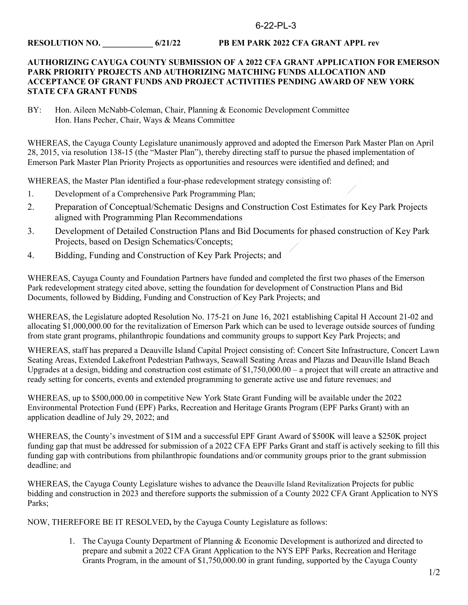## **RESOLUTION NO. \_\_\_\_\_\_\_\_\_\_\_\_ 6/21/22 PB EM PARK 2022 CFA GRANT APPL rev**

## **AUTHORIZING CAYUGA COUNTY SUBMISSION OF A 2022 CFA GRANT APPLICATION FOR EMERSON PARK PRIORITY PROJECTS AND AUTHORIZING MATCHING FUNDS ALLOCATION AND ACCEPTANCE OF GRANT FUNDS AND PROJECT ACTIVITIES PENDING AWARD OF NEW YORK STATE CFA GRANT FUNDS**

BY: Hon. Aileen McNabb-Coleman, Chair, Planning & Economic Development Committee Hon. Hans Pecher, Chair, Ways & Means Committee

WHEREAS, the Cayuga County Legislature unanimously approved and adopted the Emerson Park Master Plan on April 28, 2015, via resolution 138-15 (the "Master Plan"), thereby directing staff to pursue the phased implementation of Emerson Park Master Plan Priority Projects as opportunities and resources were identified and defined; and

WHEREAS, the Master Plan identified a four-phase redevelopment strategy consisting of:

- 1. Development of a Comprehensive Park Programming Plan;
- 2. Preparation of Conceptual/Schematic Designs and Construction Cost Estimates for Key Park Projects aligned with Programming Plan Recommendations
- 3. Development of Detailed Construction Plans and Bid Documents for phased construction of Key Park Projects, based on Design Schematics/Concepts;
- 4. Bidding, Funding and Construction of Key Park Projects; and

WHEREAS, Cayuga County and Foundation Partners have funded and completed the first two phases of the Emerson Park redevelopment strategy cited above, setting the foundation for development of Construction Plans and Bid Documents, followed by Bidding, Funding and Construction of Key Park Projects; and

WHEREAS, the Legislature adopted Resolution No. 175-21 on June 16, 2021 establishing Capital H Account 21-02 and allocating \$1,000,000.00 for the revitalization of Emerson Park which can be used to leverage outside sources of funding from state grant programs, philanthropic foundations and community groups to support Key Park Projects; and

WHEREAS, staff has prepared a Deauville Island Capital Project consisting of: Concert Site Infrastructure, Concert Lawn Seating Areas, Extended Lakefront Pedestrian Pathways, Seawall Seating Areas and Plazas and Deauville Island Beach Upgrades at a design, bidding and construction cost estimate of \$1,750,000.00 – a project that will create an attractive and ready setting for concerts, events and extended programming to generate active use and future revenues; and

WHEREAS, up to \$500,000.00 in competitive New York State Grant Funding will be available under the 2022 Environmental Protection Fund (EPF) Parks, Recreation and Heritage Grants Program (EPF Parks Grant) with an application deadline of July 29, 2022; and

WHEREAS, the County's investment of \$1M and a successful EPF Grant Award of \$500K will leave a \$250K project funding gap that must be addressed for submission of a 2022 CFA EPF Parks Grant and staff is actively seeking to fill this funding gap with contributions from philanthropic foundations and/or community groups prior to the grant submission deadline; and

WHEREAS, the Cayuga County Legislature wishes to advance the Deauville Island Revitalization Projects for public bidding and construction in 2023 and therefore supports the submission of a County 2022 CFA Grant Application to NYS Parks;

NOW, THEREFORE BE IT RESOLVED**,** by the Cayuga County Legislature as follows:

1. The Cayuga County Department of Planning & Economic Development is authorized and directed to prepare and submit a 2022 CFA Grant Application to the NYS EPF Parks, Recreation and Heritage Grants Program, in the amount of \$1,750,000.00 in grant funding, supported by the Cayuga County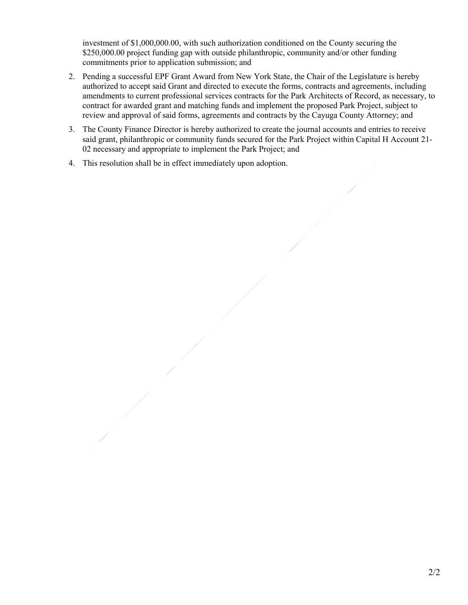investment of \$1,000,000.00, with such authorization conditioned on the County securing the \$250,000.00 project funding gap with outside philanthropic, community and/or other funding commitments prior to application submission; and

- 2. Pending a successful EPF Grant Award from New York State, the Chair of the Legislature is hereby authorized to accept said Grant and directed to execute the forms, contracts and agreements, including amendments to current professional services contracts for the Park Architects of Record, as necessary, to contract for awarded grant and matching funds and implement the proposed Park Project, subject to review and approval of said forms, agreements and contracts by the Cayuga County Attorney; and
- 3. The County Finance Director is hereby authorized to create the journal accounts and entries to receive said grant, philanthropic or community funds secured for the Park Project within Capital H Account 21- 02 necessary and appropriate to implement the Park Project; and
- 4. This resolution shall be in effect immediately upon adoption.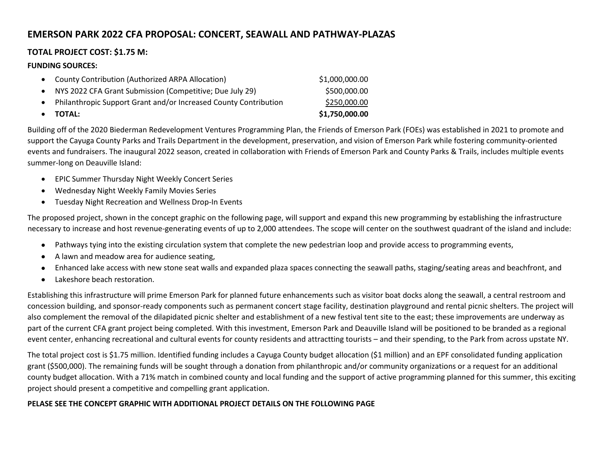## **EMERSON PARK 2022 CFA PROPOSAL: CONCERT, SEAWALL AND PATHWAY-PLAZAS**

## **TOTAL PROJECT COST: \$1.75 M:**

## **FUNDING SOURCES:**

| $\bullet$ TOTAL:                                                 | \$1,750,000.00 |
|------------------------------------------------------------------|----------------|
| Philanthropic Support Grant and/or Increased County Contribution | \$250,000.00   |
| • NYS 2022 CFA Grant Submission (Competitive; Due July 29)       | \$500,000.00   |
| • County Contribution (Authorized ARPA Allocation)               | \$1,000,000.00 |

Building off of the 2020 Biederman Redevelopment Ventures Programming Plan, the Friends of Emerson Park (FOEs) was established in 2021 to promote and support the Cayuga County Parks and Trails Department in the development, preservation, and vision of Emerson Park while fostering community-oriented events and fundraisers. The inaugural 2022 season, created in collaboration with Friends of Emerson Park and County Parks & Trails, includes multiple events summer-long on Deauville Island:

- EPIC Summer Thursday Night Weekly Concert Series
- Wednesday Night Weekly Family Movies Series
- Tuesday Night Recreation and Wellness Drop-In Events

The proposed project, shown in the concept graphic on the following page, will support and expand this new programming by establishing the infrastructure necessary to increase and host revenue-generating events of up to 2,000 attendees. The scope will center on the southwest quadrant of the island and include:

- Pathways tying into the existing circulation system that complete the new pedestrian loop and provide access to programming events,
- A lawn and meadow area for audience seating,
- Enhanced lake access with new stone seat walls and expanded plaza spaces connecting the seawall paths, staging/seating areas and beachfront, and
- Lakeshore beach restoration.

Establishing this infrastructure will prime Emerson Park for planned future enhancements such as visitor boat docks along the seawall, a central restroom and concession building, and sponsor-ready components such as permanent concert stage facility, destination playground and rental picnic shelters. The project will also complement the removal of the dilapidated picnic shelter and establishment of a new festival tent site to the east; these improvements are underway as part of the current CFA grant project being completed. With this investment, Emerson Park and Deauville Island will be positioned to be branded as a regional event center, enhancing recreational and cultural events for county residents and attractting tourists – and their spending, to the Park from across upstate NY.

The total project cost is \$1.75 million. Identified funding includes a Cayuga County budget allocation (\$1 million) and an EPF consolidated funding application grant (\$500,000). The remaining funds will be sought through a donation from philanthropic and/or community organizations or a request for an additional county budget allocation. With a 71% match in combined county and local funding and the support of active programming planned for this summer, this exciting project should present a competitive and compelling grant application.

## **PELASE SEE THE CONCEPT GRAPHIC WITH ADDITIONAL PROJECT DETAILS ON THE FOLLOWING PAGE**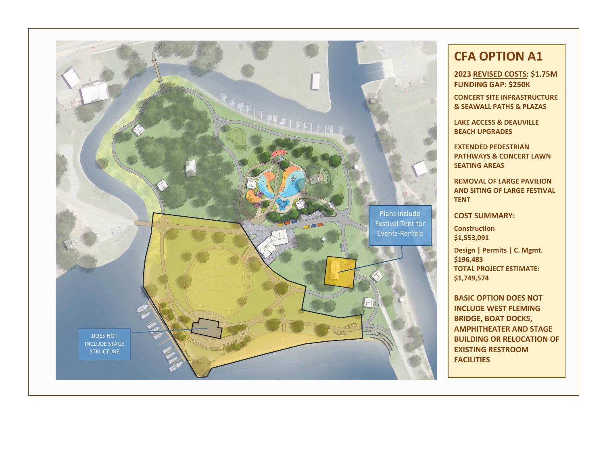

# **CFA OPTION A 1**

**2023 REVISED COSTS: \$ 1 . 7 5 M FUNDING GAP: \$2 50K**

**CONCERT SITE INFRASTRUCTURE & SEAWALL PATHS & PLAZAS**

**LAKE ACCESS & DEAUVILLE BEACH UPGRADES**

**EXTENDED PEDESTRIAN PATHWAYS & CONCERT LAWN SEATING AREAS**

**REMOVAL OF LARGE PAVILION AND SITING OF LARGE FESTIVAL TENT**

**COST SUMMARY:**

**Construction \$1,553,091**

**Design | Permits | C. Mgmt. \$196,483 TOTAL PROJECT ESTIMATE: \$1,749,574**

**BASIC OPTION DOES NOT INCLUDE WEST FLEMING BRIDGE, BOAT DOCKS, AMPHITHEATER AND STAGE BUILDING OR RELOCATION OF EXISTING RESTROOM FACILITIES**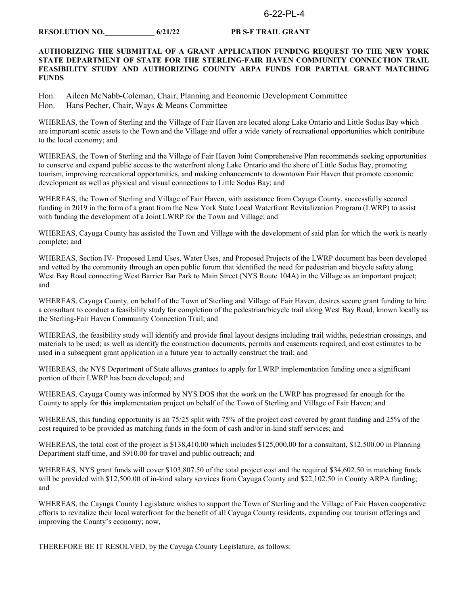## **RESOLUTION NO.\_\_\_\_\_\_\_\_\_\_\_\_\_ 6/21/22 PB S-F TRAIL GRANT**

#### **AUTHORIZING THE SUBMITTAL OF A GRANT APPLICATION FUNDING REQUEST TO THE NEW YORK STATE DEPARTMENT OF STATE FOR THE STERLING-FAIR HAVEN COMMUNITY CONNECTION TRAIL FEASIBILITY STUDY AND AUTHORIZING COUNTY ARPA FUNDS FOR PARTIAL GRANT MATCHING FUNDS**

Hon. Aileen McNabb-Coleman, Chair, Planning and Economic Development Committee Hon. Hans Pecher, Chair, Ways & Means Committee

WHEREAS, the Town of Sterling and the Village of Fair Haven are located along Lake Ontario and Little Sodus Bay which are important scenic assets to the Town and the Village and offer a wide variety of recreational opportunities which contribute to the local economy; and

WHEREAS, the Town of Sterling and the Village of Fair Haven Joint Comprehensive Plan recommends seeking opportunities to conserve and expand public access to the waterfront along Lake Ontario and the shore of Little Sodus Bay, promoting tourism, improving recreational opportunities, and making enhancements to downtown Fair Haven that promote economic development as well as physical and visual connections to Little Sodus Bay; and

WHEREAS, the Town of Sterling and Village of Fair Haven, with assistance from Cayuga County, successfully secured funding in 2019 in the form of a grant from the New York State Local Waterfront Revitalization Program (LWRP) to assist with funding the development of a Joint LWRP for the Town and Village; and

WHEREAS, Cayuga County has assisted the Town and Village with the development of said plan for which the work is nearly complete; and

WHEREAS, Section IV- Proposed Land Uses, Water Uses, and Proposed Projects of the LWRP document has been developed and vetted by the community through an open public forum that identified the need for pedestrian and bicycle safety along West Bay Road connecting West Barrier Bar Park to Main Street (NYS Route 104A) in the Village as an important project; and

WHEREAS, Cayuga County, on behalf of the Town of Sterling and Village of Fair Haven, desires secure grant funding to hire a consultant to conduct a feasibility study for completion of the pedestrian/bicycle trail along West Bay Road, known locally as the Sterling-Fair Haven Community Connection Trail; and

WHEREAS, the feasibility study will identify and provide final layout designs including trail widths, pedestrian crossings, and materials to be used; as well as identify the construction documents, permits and easements required, and cost estimates to be used in a subsequent grant application in a future year to actually construct the trail; and

WHEREAS, the NYS Department of State allows grantees to apply for LWRP implementation funding once a significant portion of their LWRP has been developed; and

WHEREAS, Cayuga County was informed by NYS DOS that the work on the LWRP has progressed far enough for the County to apply for this implementation project on behalf of the Town of Sterling and Village of Fair Haven; and

WHEREAS, this funding opportunity is an 75/25 split with 75% of the project cost covered by grant funding and 25% of the cost required to be provided as matching funds in the form of cash and/or in-kind staff services; and

WHEREAS, the total cost of the project is \$138,410.00 which includes \$125,000.00 for a consultant, \$12,500.00 in Planning Department staff time, and \$910.00 for travel and public outreach; and

WHEREAS, NYS grant funds will cover \$103,807.50 of the total project cost and the required \$34,602.50 in matching funds will be provided with \$12,500.00 of in-kind salary services from Cayuga County and \$22,102.50 in County ARPA funding; and

WHEREAS, the Cayuga County Legislature wishes to support the Town of Sterling and the Village of Fair Haven cooperative efforts to revitalize their local waterfront for the benefit of all Cayuga County residents, expanding our tourism offerings and improving the County's economy; now,

THEREFORE BE IT RESOLVED, by the Cayuga County Legislature, as follows: